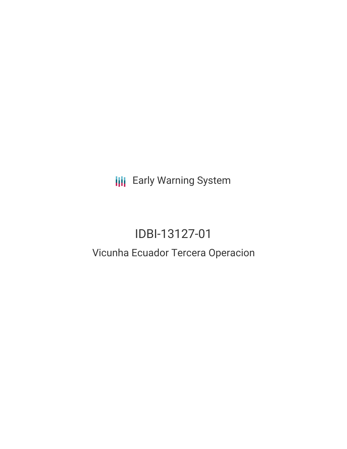**III** Early Warning System

# IDBI-13127-01

## Vicunha Ecuador Tercera Operacion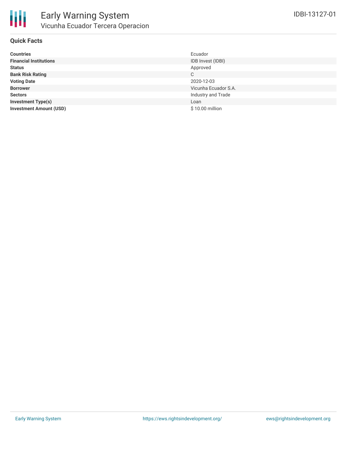

#### **Quick Facts**

| <b>Countries</b>               | Ecuador              |
|--------------------------------|----------------------|
| <b>Financial Institutions</b>  | IDB Invest (IDBI)    |
| <b>Status</b>                  | Approved             |
| <b>Bank Risk Rating</b>        | C                    |
| <b>Voting Date</b>             | 2020-12-03           |
| <b>Borrower</b>                | Vicunha Ecuador S.A. |
| <b>Sectors</b>                 | Industry and Trade   |
| <b>Investment Type(s)</b>      | Loan                 |
| <b>Investment Amount (USD)</b> | \$10.00 million      |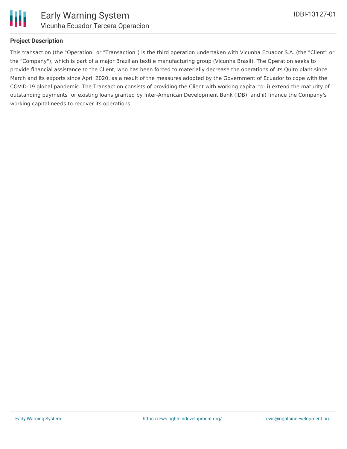

#### **Project Description**

This transaction (the "Operation" or "Transaction") is the third operation undertaken with Vicunha Ecuador S.A. (the "Client" or the "Company"), which is part of a major Brazilian textile manufacturing group (Vicunha Brasil). The Operation seeks to provide financial assistance to the Client, who has been forced to materially decrease the operations of its Quito plant since March and its exports since April 2020, as a result of the measures adopted by the Government of Ecuador to cope with the COVID-19 global pandemic. The Transaction consists of providing the Client with working capital to: i) extend the maturity of outstanding payments for existing loans granted by Inter-American Development Bank (IDB); and ii) finance the Company's working capital needs to recover its operations.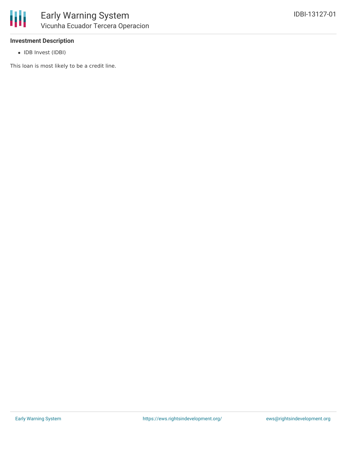

#### **Investment Description**

• IDB Invest (IDBI)

This loan is most likely to be a credit line.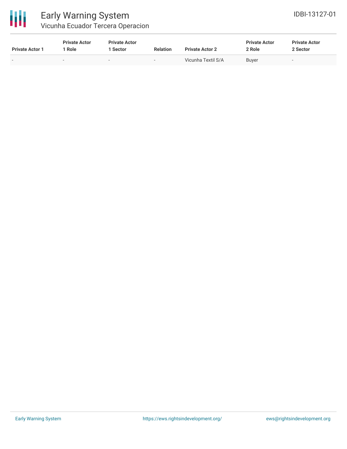

### Early Warning System Vicunha Ecuador Tercera Operacion

| <b>Private Actor 1</b> | <b>Private Actor</b><br>Role | <b>Private Actor</b><br><b>Sector</b> | <b>Relation</b> | <b>Private Actor 2</b> | <b>Private Actor</b><br>2 Role | <b>Private Actor</b><br>2 Sector |
|------------------------|------------------------------|---------------------------------------|-----------------|------------------------|--------------------------------|----------------------------------|
|                        | . .                          | $\overline{\phantom{a}}$              |                 | Vicunha Textil S/A     | Buyer                          | $\overline{\phantom{0}}$         |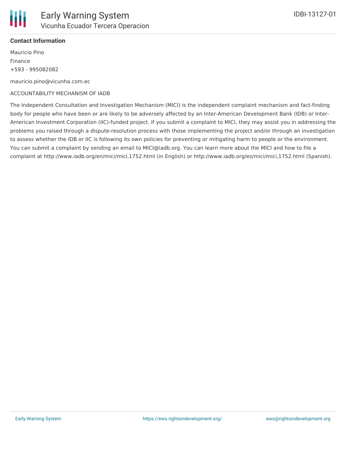

#### **Contact Information**

Mauricio Pino Finance +593 - 995082082

mauricio.pino@vicunha.com.ec

#### ACCOUNTABILITY MECHANISM OF IADB

The Independent Consultation and Investigation Mechanism (MICI) is the independent complaint mechanism and fact-finding body for people who have been or are likely to be adversely affected by an Inter-American Development Bank (IDB) or Inter-American Investment Corporation (IIC)-funded project. If you submit a complaint to MICI, they may assist you in addressing the problems you raised through a dispute-resolution process with those implementing the project and/or through an investigation to assess whether the IDB or IIC is following its own policies for preventing or mitigating harm to people or the environment. You can submit a complaint by sending an email to MICI@iadb.org. You can learn more about the MICI and how to file a complaint at http://www.iadb.org/en/mici/mici,1752.html (in English) or http://www.iadb.org/es/mici/mici,1752.html (Spanish).